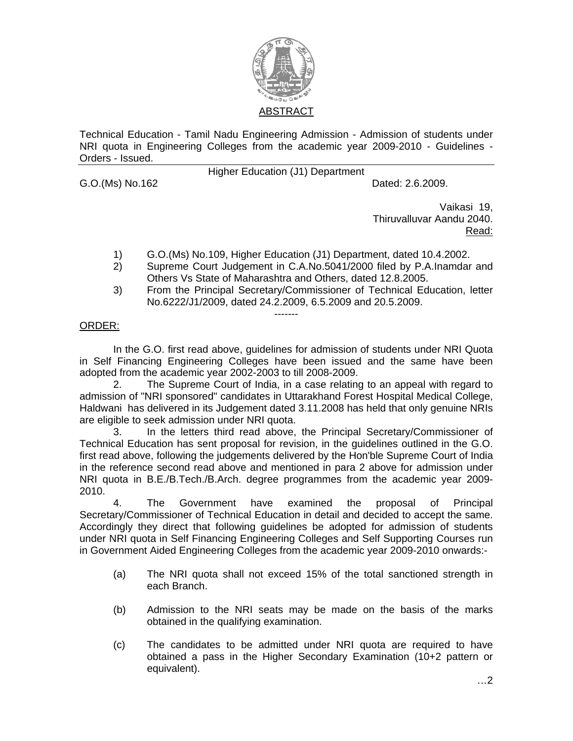

Technical Education - Tamil Nadu Engineering Admission - Admission of students under NRI quota in Engineering Colleges from the academic year 2009-2010 - Guidelines - Orders - Issued.

G.O.(Ms) No.162 **Dated: 2.6.2009.** 

Higher Education (J1) Department

Vaikasi 19, Thiruvalluvar Aandu 2040. Read:

- 1) G.O.(Ms) No.109, Higher Education (J1) Department, dated 10.4.2002.
- 2) Supreme Court Judgement in C.A.No.5041/2000 filed by P.A.Inamdar and Others Vs State of Maharashtra and Others, dated 12.8.2005.
- 3) From the Principal Secretary/Commissioner of Technical Education, letter No.6222/J1/2009, dated 24.2.2009, 6.5.2009 and 20.5.2009.

## ORDER:

 In the G.O. first read above, guidelines for admission of students under NRI Quota in Self Financing Engineering Colleges have been issued and the same have been adopted from the academic year 2002-2003 to till 2008-2009.

-------

 2. The Supreme Court of India, in a case relating to an appeal with regard to admission of "NRI sponsored" candidates in Uttarakhand Forest Hospital Medical College, Haldwani has delivered in its Judgement dated 3.11.2008 has held that only genuine NRIs are eligible to seek admission under NRI quota.

 3. In the letters third read above, the Principal Secretary/Commissioner of Technical Education has sent proposal for revision, in the guidelines outlined in the G.O. first read above, following the judgements delivered by the Hon'ble Supreme Court of India in the reference second read above and mentioned in para 2 above for admission under NRI quota in B.E./B.Tech./B.Arch. degree programmes from the academic year 2009- 2010.

4. The Government have examined the proposal of Principal Secretary/Commissioner of Technical Education in detail and decided to accept the same. Accordingly they direct that following guidelines be adopted for admission of students under NRI quota in Self Financing Engineering Colleges and Self Supporting Courses run in Government Aided Engineering Colleges from the academic year 2009-2010 onwards:-

- (a) The NRI quota shall not exceed 15% of the total sanctioned strength in each Branch.
- (b) Admission to the NRI seats may be made on the basis of the marks obtained in the qualifying examination.
- (c) The candidates to be admitted under NRI quota are required to have obtained a pass in the Higher Secondary Examination (10+2 pattern or equivalent).